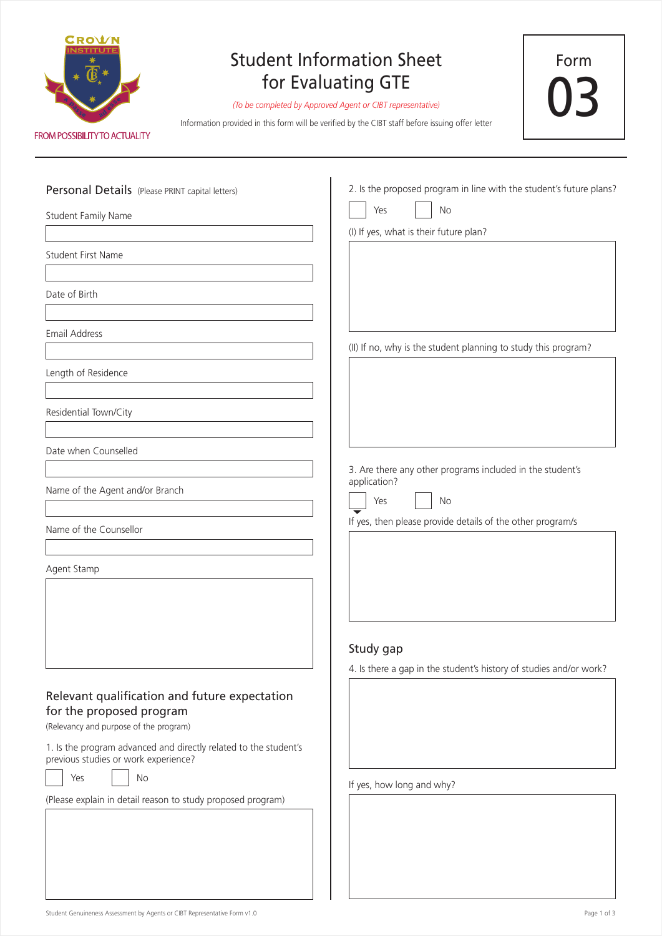

## Student Information Sheet for Evaluating GTE

*(To be completed by Approved Agent or CIBT representative)*

Information provided in this form will be verified by the CIBT staff before issuing offer letter

Student Family Name Student First Name Date of Birth Email Address Length of Residence Residential Town/City Date when Counselled Name of the Agent and/or Branch Name of the Counsellor Agent Stamp Personal Details (Please PRINT capital letters) Study gap (Please explain in detail reason to study proposed program) 1. Is the program advanced and directly related to the student's previous studies or work experience? Relevant qualification and future expectation for the proposed program (Relevancy and purpose of the program) Yes | No (I) If yes, what is their future plan? (II) If no, why is the student planning to study this program? 2. Is the proposed program in line with the student's future plans? Yes No 4. Is there a gap in the student's history of studies and/or work? If yes, how long and why? 3. Are there any other programs included in the student's application? Yes No If yes, then please provide details of the other program/s

Form

03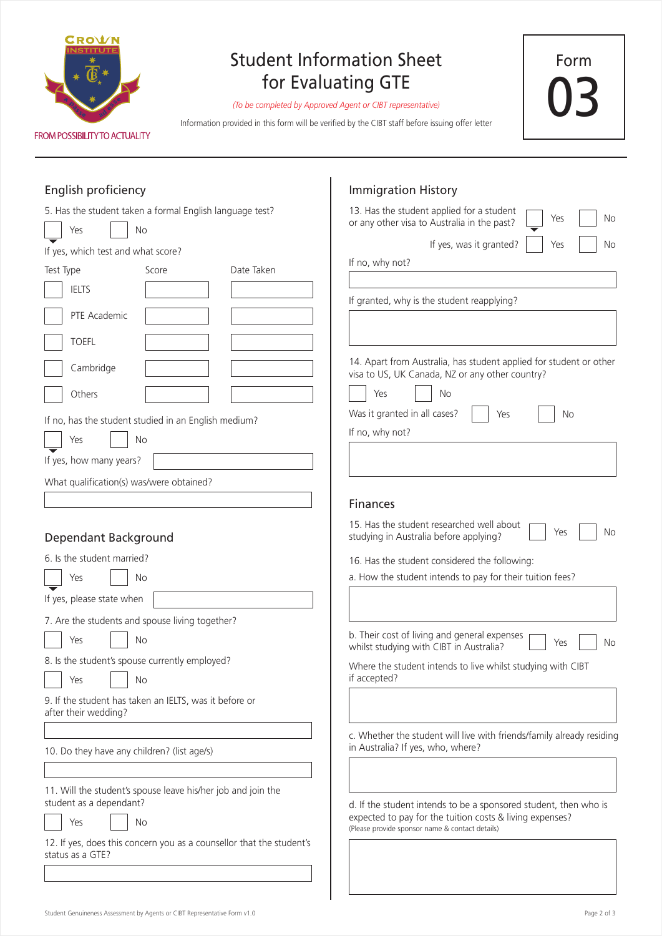

## Student Information Sheet for Evaluating GTE

*(To be completed by Approved Agent or CIBT representative)*

Information provided in this form will be verified by the CIBT staff before issuing offer letter

Form 03

| English proficiency                                                                      | <b>Immigration History</b>                                                                                            |  |
|------------------------------------------------------------------------------------------|-----------------------------------------------------------------------------------------------------------------------|--|
| 5. Has the student taken a formal English language test?<br>Yes<br>No                    | 13. Has the student applied for a student<br>No<br>Yes<br>or any other visa to Australia in the past?                 |  |
| If yes, which test and what score?                                                       | If yes, was it granted?<br>Yes<br>No                                                                                  |  |
| Date Taken<br>Test Type<br>Score                                                         | If no, why not?                                                                                                       |  |
| <b>IELTS</b>                                                                             |                                                                                                                       |  |
|                                                                                          | If granted, why is the student reapplying?                                                                            |  |
| PTE Academic                                                                             |                                                                                                                       |  |
| <b>TOEFL</b>                                                                             |                                                                                                                       |  |
| Cambridge                                                                                | 14. Apart from Australia, has student applied for student or other<br>visa to US, UK Canada, NZ or any other country? |  |
| Others                                                                                   | Yes<br>No                                                                                                             |  |
| If no, has the student studied in an English medium?                                     | Was it granted in all cases?<br>Yes<br>No                                                                             |  |
| Yes<br>No                                                                                | If no, why not?                                                                                                       |  |
|                                                                                          |                                                                                                                       |  |
| If yes, how many years?                                                                  |                                                                                                                       |  |
| What qualification(s) was/were obtained?                                                 |                                                                                                                       |  |
|                                                                                          | <b>Finances</b>                                                                                                       |  |
| Dependant Background                                                                     | 15. Has the student researched well about<br>No<br>Yes<br>studying in Australia before applying?                      |  |
| 6. Is the student married?                                                               | 16. Has the student considered the following:                                                                         |  |
| Yes<br>No                                                                                | a. How the student intends to pay for their tuition fees?                                                             |  |
| If yes, please state when                                                                |                                                                                                                       |  |
| 7. Are the students and spouse living together?                                          |                                                                                                                       |  |
| Yes<br>No                                                                                | b. Their cost of living and general expenses<br>No<br>Yes<br>whilst studying with CIBT in Australia?                  |  |
| 8. Is the student's spouse currently employed?<br>No<br>Yes                              | Where the student intends to live whilst studying with CIBT<br>if accepted?                                           |  |
| 9. If the student has taken an IELTS, was it before or<br>after their wedding?           |                                                                                                                       |  |
|                                                                                          | c. Whether the student will live with friends/family already residing<br>in Australia? If yes, who, where?            |  |
| 10. Do they have any children? (list age/s)                                              |                                                                                                                       |  |
| 11. Will the student's spouse leave his/her job and join the<br>student as a dependant?  | d. If the student intends to be a sponsored student, then who is                                                      |  |
| Yes<br>No                                                                                | expected to pay for the tuition costs & living expenses?<br>(Please provide sponsor name & contact details)           |  |
| 12. If yes, does this concern you as a counsellor that the student's<br>status as a GTE? |                                                                                                                       |  |
|                                                                                          |                                                                                                                       |  |

 $\mathbf{I}$